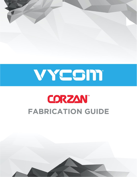



## **CORZAN FABRICATION GUIDE**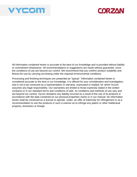



All information contained herein is accurate to the best of our knowledge and is provided without liability or commitment whatsoever. All recommendations or suggestions are made without guarantee, since the conditions of use are beyond our control. We recommend that you confirm product suitability and fitness-for-use by carrying out testing under the required environmental conditions.

Processing and finishing techniques are presented as "typical." Information contained herein is considered accurate to the best or our knowledge. It is offered for your consideration and investigation, and is not to be construed as a representation or warranty, expressed or implied, for which Vycom assumes any legal responsibility. Our warranties are limited to those expressly stated in the written contracts or in our standard terms and conditions of sale. As conditions and methods of use vary and are beyond our control, Vycom disclaims any liability incurred as a result of the use of its products in accordance with the data contained on our physical properties charts or in our manual. No information herein shall be construed as a license to operate under, an offer of indemnity for infringement or as a recommendation to use the products in such a manner as to infringe any patent or other intellectual property, domestics or foreign.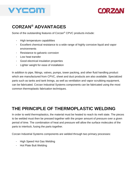



## **CORZAN® ADVANTAGES**

Some of the outstanding features of Corzan® CPVC products include:

- High temperature capabilities
- Excellent chemical resistance to a wide range of highly corrosive liquid and vapor environments
- Resistance to galvanic corrosion
- Low heat transfer
- Good electrical insulation properties
- Lighter weight for ease of installation

In addition to [pipe,](https://www.corzan.com/en-us/piping-systems?hsLang=en-us) fittings, valves, pumps, tower packing, and other fluid handling product which are manufactured from CPVC, sheet an[d](https://www.corzan.com/en-us/ducting?hsLang=en-us) [duct](https://www.corzan.com/en-us/ducting?hsLang=en-us) products are also available. Specialized parts such as tanks and tank linings, as well as ventilation and vapor scrubbing equipment, can be fabricated. Corzan Industrial Systems components can be fabricated using the most common thermoplastic fabrication techniques.

### **THE PRINCIPLE OF THERMOPLASTIC WELDING**

In order to weld thermoplastics, the material must be heated to reach its melt state. The pieces to be welded must then be pressed together with the proper amount of pressure over a given period of time. The combination of heat and pressure will allow the surface molecules of the parts to interlock, fusing the parts together.

Corzan Industrial Systems components are welded through two primary processes:

- [High Speed](https://www.corzan.com/en-us/sheet-and-lining/high-speed-hot-air-welding?hsLang=en-us) [Hot Gas Welding](https://www.corzan.com/en-us/sheet-and-lining/high-speed-hot-air-welding?hsLang=en-us)
- [Hot Plate Butt Welding](https://www.corzan.com/en-us/sheet-and-lining/hot-plate-butt-welding?hsLang=en-us)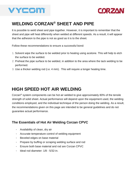



## **WELDING CORZAN® SHEET AND PIPE**

It is possible to weld sheet an[d](https://www.corzan.com/en-us/piping-systems?hsLang=en-us) [pipe](https://www.corzan.com/en-us/piping-systems?hsLang=en-us) together. However, it is important to remember that the sheet and pipe will heat differently when welded at different speeds. As a result, it will appear that the adhesion to the pipe is not as good as it is to the sheet.

Follow these recommendations to ensure a successful bond:

- 1. Solvent wipe the surface to be welded prior to heating using acetone. This will help to etch the surface to be welded.
- 2. Preheat the pipe surface to be welded, in addition to the area where the tack welding to be performed.
- 3. Use a thicker welding rod (i.e. 4 mm). This will require a longer heating time.

## **HIGH SPEED HOT AIR WELDING**

Corzan<sup>®</sup> system components can be hot air welded to give approximately 80% of the tensile strength of solid sheet. Actual performance will depend upon the equipment used, the welding conditions employed, and the individual technique of the person doing the welding. As a result, the recommendations given on this page are intended to be general guidelines and do not guarantee actual performance.

#### **The Essentials of Hot Air Welding Corzan CPVC**

- Availability of clean, dry air
- Accurate temperature control of welding equipment
- Beveled edges on base material
- Prepare by buffing or scraping welding surface and rod
- Ensure both base material and rod are Corzan CPVC
- Ideal rod diameter: 1/8 5/32-in.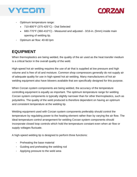



- Optimum temperature range:
	- 710-800°F (375-425°C) Dial Selected
	- 680-770°F (360-410°C) Measured and adjusted 3/16-in. (5mm) inside main opening of welding tip.
- Optimum air flow: 40-60 lpm

#### **EQUIPMENT**

When thermoplastics are being welded, the quality of the air used as the heat transfer medium is a critical factor in the overall quality of the weld.

High-speed hot air welding requires the use of air that is supplied at low pressure and high volume and is free of oil and moisture. Common shop compressors generally do not supply air of adequate quality for use in high-speed hot air welding. Many manufacturers of hot air welding equipment also have blowers available that are specifically designed for this purpose.

When Corzan system components are being welded, the accuracy of the temperature controlling equipment is equally as important. The optimum temperature range for welding Corzan system components is typically slightly narrower than for other thermoplastics, such as polyolefins. The quality of the weld produced is therefore dependent on having an optimum and consistent temperature at the welding tip.

Welding equipment used with Corzan system components preferably should control the temperature by regulating power to the heating element rather than by varying the air flow. The ideal temperature control arrangement for welding Corzan system components should incorporate closed loop controls which hold the temperature constant even when air flow or supply voltages fluctuate.

A high-speed welding tip is designed to perform three functions:

- Preheating the base material
- Guiding and preheating the welding rod
- Applying pressure to the weld area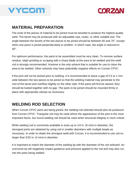



#### **MATERIAL PREPARATION**

The ends of the pieces of material to be joined must be beveled to produce the highest quality weld. The bevel may be produced with an adjustable saw, router, or other suitable tool. The angle between the bevels of the two pieces to be joined should be between 60 and 70°, except when one piece is joined perpendicularly to another, in which case, the angle is reduced to 45°.

For optimum performance, the parts to be assembled must be very clean. To remove surface residue, slight grinding or scraping with a sharp blade at the area to be welded and the weld rod is strongly recommended. Acetone is the only solvent that is suitable for use to clean the area to be welded. Other solvents may have potentially negative effects on Corzan CPVC.

If the joint will not be tacked prior to welding, it is recommended to leave a gap of 0.5 to 1 mm wide between the two pieces to be joined so that the welding material may penetrate to the root of the bevel and overflow slightly on the other side. If the parts will first be tacked, they should be butted together with no gap. The parts to be joined should be mounted firmly in place with appropriate clamps as necessary.

#### **WELDING ROD SELECTION**

When Corzan CPVC parts are being joined, the welding rod selected should also be produced from Corzan CPVC. Triangular rod may be used where the appearance of the joint is the most important factor, but round welding rod should be used when structural integrity is more critical.

While welding rod is commonly available in sizes up to 1/4 in. (6 mm) in diameter, the strongest joints are obtained by using rod in smaller diameters with multiple beads as necessary. In order to obtain the strongest weld with Corzan, it is recommended to use rod no larger than 5/32 in. (4 mm) in diameter.

It is important to match the diameter of the welding tip with the diameter of the rod selected. An oversized tip will negatively impact guidance and pressure applied to the rod and may also cut into the parts being welded.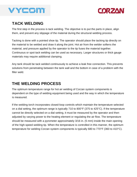



#### **TACK WELDING**

The first step in the process is tack welding. The objective is to put the parts in place, align them, and prevent any slippage of the material during the structural welding process.

Tacking is done with a pointed shoe tip. The operator should place the tacking tip directly on the material to be welded and draw it along the joint. Hot air from the welder softens the material, and pressure applied by the operator to the tip fuses the material together. Continuous or spot tack welding can be used as necessary. Larger structures or thick gauge materials may require additional clamping.

Any tank should be tack welded continuously to achieve a leak free connection. This prevents solutions from penetrating between the tank wall and the bottom in case of a problem with the filler weld.

#### **THE WELDING PROCESS**

The optimum temperature range for hot air welding of Corzan system components is dependent on the type of welding equipment being used and the way in which the temperature is measured.

If the welding torch incorporates closed-loop controls which maintain the temperature selected on a dial setting, the optimum range is typically 710 to 800°F (375 to 425°C). If the temperature cannot be directly selected on a dial setting, it must be measured by the operator and then adjusted by varying power to the heating element or regulating the air flow. The temperature should be measured with a pyrometer approximately 3/16 in. (5 mm) inside the main opening of the high-speed welding tip. When the temperature is controlled in this manner, the optimum temperature for welding Corzan system components is typically 680 to 770°F (360 to 410°C).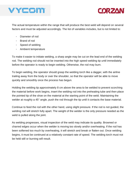



The actual temperature within the range that will produce the best weld will depend on several factors and must be adjusted accordingly. The list of variables includes, but is not limited to:

- Diameter of rod
- Brand of rod
- Speed of welding
- Ambient temperature

To make it easier to initiate welding, a sharp angle may be cut on the lead end of the welding rod. The welding rod should not be inserted into the high speed-welding tip until immediately before the operator is ready to begin welding. Otherwise, the rod may burn.

To begin welding, the operator should grasp the welding torch like a dagger, with the airline trailing away from the body or over the shoulder, so that the operator will be able to move quickly and smoothly once the process has begun.

Holding the welding tip approximately 8 cm above the area to be welded to prevent scorching the material before work begins, insert the welding rod into the preheating tube and then place the pointed tip of the shoe on the material at the starting point of the weld. Maintaining the welder at roughly a 45° angle, push the rod through the tip until it contacts the base material.

Continue to feed the rod with the other hand, using slight pressure. If the rod is not guided, the welding rod will stretch fully apart. The weight of the welder is the only pressure needed as the weld is pulled along the joint.

As welding progresses, visual inspection of the weld may indicate its quality. Browned or charred edges occur when the welder is moving too slowly and/or overheating. If the rod has been softened too much by overheating, it will stretch and break or flatten out. Once welding begins, it must be continued at a relatively constant rate of speed. The welding torch must not be held still or burning will result.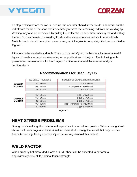



To stop welding before the rod is used up, the operator should tilt the welder backward, cut the rod off with the tip of the shoe and immediately remove the remaining rod from the welding tip. Welding may also be terminated by pulling the welder tip up over the remaining rod and cutting the rod. For best results, the welding tip should be cleaned occasionally with a wire brush. Multiple beads should be applied as necessary until the joint is completely filled, as specified in Figure 1.

If the joint to be welded is a double V or a double half V joint, the best results are obtained if layers of beads are put down alternately on opposite sides of the joint. The following table presents recommendations for bead lay-up for different material thicknesses and joint configurations.



#### **Recommendations for Bead Lay Up**

**Figure 1.**

#### **HEAT STRESS PROBLEMS**

During hot air welding, the material will expand as it is forced into position. When cooling, it will shrink back to its original volume. A welded sheet that is straight while still hot may become bent after cooling. Using a double V joint is one way to avoid this problem.

### **WELD FACTOR**

When properly hot air welded, Corzan CPVC sheet can be expected to perform to approximately 80% of its nominal tensile strength.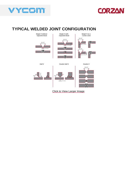



#### **TYPICAL WELDED JOINT CONFIGURATION**

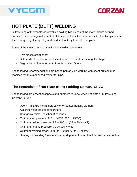



## **HOT PLATE (BUTT) WELDING**

Butt welding of thermoplastics involves holding two pieces of the material with defined, constant pressure against a heated plate element until the material melts. The two pieces are then brought together quickly and held so that they fuse into one piece.

Some of the most common uses for butt welding are to join:

- Two pieces of flat sheet
- Both ends of a rolled or bent sheet to form a round or rectangular shape
- Segments of pipe together to form fabricated fittings.

The following recommendations are based primarily on working with sheet but could be modified by an experienced welder for pipe.

#### **The Essentials of Hot Plate (Butt) Welding Corzan® CPVC**

The following are essential aspects and numbers to know when hot plate or butt welding Corzan® CPVC:

- Use a PTFE (Polytetrafluoroethylene)-coated heating element
- Accurately control the temperature
- Changeover time: less than 3 seconds
- Optimum temperature: 440 to 445°F (225 to 230°C)
- Optimum melting pressure: 95 to 100 psi (65 to 70 N/cm2)
- Optimum heating pressure: 30 psi (20 N/cm2)
- Optimum welding pressure: 95 to 100 psi (65 to 70 N/cm2)
- Heating and welding / fusion times are dependent on material thickness (see tables)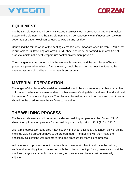



#### **EQUIPMENT**

The heating element should be PTFE-coated stainless steel to prevent sticking of the melted plastic to the element. The heating element should be kept very clean. If necessary, a clean cotton rag or paper towel can be used to wipe off any residue.

Controlling the temperature of the heating element is very important when Corzan CPVC sheet is butt welded. Butt welding of Corzan CPVC sheet should be performed in an area free of drafts to maintain the best temperature control environment possible.

The changeover time, during which the element is removed and the two pieces of heated plastic are pressed together to form the weld, should be as short as possible. Ideally, the changeover time should be no more than three seconds.

#### **MATERIAL PREPARATION**

The edges of the pieces of material to be welded should be as square as possible so that they will contact the heating element and each other evenly. Cutting debris and any oil or dirt should be removed from the welding area. The pieces to be welded should be clean and dry. Solvents should not be used to clean the surfaces to be welded.

#### **THE WELDING PROCESS**

The heating element should be set at the desired welding temperature. For Corzan CPVC sheet, the optimum temperature for butt welding is typically 437 to 446°F (225 to 230°C).

With a microprocessor-controlled machine, only the sheet thickness and length, as well as the melting / welding pressures have to be programmed. The machine will then make the necessary calculations with respect to time and pressure for the welding process.

With a non-microprocessor-controlled machine, the operator has to calculate the welding surface, then multiply the cross section with the optimum melting / fusing pressure and set the machine gauges accordingly. Here, as well, temperature and times must be manually adjusted.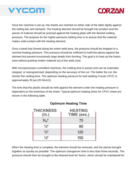



Once the machine is set up, the sheets are inserted on either side of the table tightly against the setting bar and clamped. The heating element should be brought into position and the pieces of material should be pressed against the heating plate with the desired melting pressure. The purpose for the higher-pressure melting time is to assure that the material makes solid contact with the heating element.

Once a bead has formed along the entire weld area, the pressure should be dropped to a nominal heating pressure. This pressure should be sufficient to hold the pieces against the element but prevent excessively large beads from forming. The goal is to heat up the fusion area without pushing molten material out of the weld zone.

With microprocessor-controlled machines, the melting time is preset and can be extended, stopped, or reprogrammed, depending on the accuracy of the cut. The better the cut, the shorter the melting time. The optimum heating pressure for butt welding Corzan CPVC is approximately 30 psi (20 N/cm2).

The time that the plastic should be held against the element under the heating pressure is dependent on the thickness of the sheet. Typical optimum heating times for CPVC sheet are shown in the following table.

| <b>THICKNESS</b><br>(in.) | <b>HEATING</b><br>TIME (sec.) |
|---------------------------|-------------------------------|
| $\frac{3}{16}$ "          | 75                            |
| $\frac{1}{4}$             | 90                            |
| $\frac{3}{8}$ "           | 120                           |
| $\frac{1}{2}$             | 150                           |

#### **Optimum Heating Time**

When the heating time is complete, the element should be removed, and the pieces brought together as quickly as possible. The optimum changeover time is less than three seconds. The pressure should then be brought to the desired level for fusion, which should be maintained for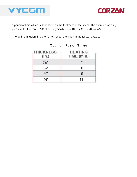



a period of time which is dependent on the thickness of the sheet. The optimum welding pressure for Corzan CPVC sheet is typically 95 to 100 psi (65 to 70 N/cm<sup>2</sup>).

The optimum fusion times for CPVC sheet are given in the following table.

| <b>THICKNESS</b><br>(in.) | <b>HEATING</b><br>TIME (min.) |
|---------------------------|-------------------------------|
| $\frac{3}{16}$            | 5                             |
| $\frac{1}{4}$             | 6                             |
| $\frac{3}{8}$ "           | 9                             |
| $\frac{1}{2}$             | 11                            |

#### **Optimum Fusion Times**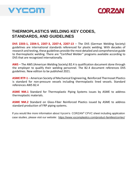



#### **THERMOPLASTICS WELDING KEY CODES, STANDARDS, AND GUIDELINES**

**DVS 2203-1, 2204-5, 2207-3, 2207-4, 2207-13** – The DVS (German Welding Society) guidelines are international standards referenced for plastic welding. With decades of research and testing, these guidelines provide the most detailed and comprehensive guide to thermoplastic welding. There are "Certified Welder" programs available according to DVS that are recognized internationally.

**AWS** – The AWS (American Welding Society) B2.4 is qualification document done through the employer to qualify their welding personnel. The B2.4 document references DVS guidelines. New edition to be published 2021.

**ASME RTP-1** – American Society of Mechanical Engineering, Reinforced Thermoset Plastics is standard for non-pressure vessels including thermoplastic lined vessels. Standard references AWS B2.4

**ASME NM.1** Standard for Thermoplastic Piping Systems issues by ASME to address thermoplastic materials.

**ASME NM.2** Standard on Glass-Fiber Reinforced Plastics issued by ASME to address standard production of FRP piping systems.

If you would like more information about Vycom's CORZAN® CPVC sheet including application case studies, please visit our website: <https://www.vycomplastics.com/product-families/corrtec/>